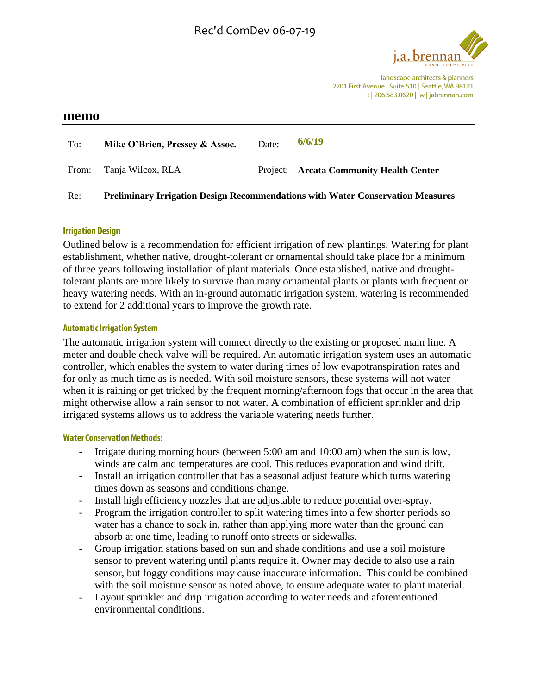

landscape architects & planners 2701 First Avenue | Suite 510 | Seattle, WA 98121 t | 206.583.0620 | w | jabrennan.com

| memo  |                                |       |                                                                                       |
|-------|--------------------------------|-------|---------------------------------------------------------------------------------------|
| To:   | Mike O'Brien, Pressey & Assoc. | Date: | 6/6/19                                                                                |
| From: | Tanja Wilcox, RLA              |       | Project: Arcata Community Health Center                                               |
| Re:   |                                |       | <b>Preliminary Irrigation Design Recommendations with Water Conservation Measures</b> |

### **Irrigation Design**

Outlined below is a recommendation for efficient irrigation of new plantings. Watering for plant establishment, whether native, drought-tolerant or ornamental should take place for a minimum of three years following installation of plant materials. Once established, native and droughttolerant plants are more likely to survive than many ornamental plants or plants with frequent or heavy watering needs. With an in-ground automatic irrigation system, watering is recommended to extend for 2 additional years to improve the growth rate.

#### **Automatic Irrigation System**

The automatic irrigation system will connect directly to the existing or proposed main line. A meter and double check valve will be required. An automatic irrigation system uses an automatic controller, which enables the system to water during times of low evapotranspiration rates and for only as much time as is needed. With soil moisture sensors, these systems will not water when it is raining or get tricked by the frequent morning/afternoon fogs that occur in the area that might otherwise allow a rain sensor to not water. A combination of efficient sprinkler and drip irrigated systems allows us to address the variable watering needs further.

# **Water Conservation Methods:**

- Irrigate during morning hours (between 5:00 am and 10:00 am) when the sun is low, winds are calm and temperatures are cool. This reduces evaporation and wind drift.
- Install an irrigation controller that has a seasonal adjust feature which turns watering times down as seasons and conditions change.
- Install high efficiency nozzles that are adjustable to reduce potential over-spray.
- Program the irrigation controller to split watering times into a few shorter periods so water has a chance to soak in, rather than applying more water than the ground can absorb at one time, leading to runoff onto streets or sidewalks.
- Group irrigation stations based on sun and shade conditions and use a soil moisture sensor to prevent watering until plants require it. Owner may decide to also use a rain sensor, but foggy conditions may cause inaccurate information. This could be combined with the soil moisture sensor as noted above, to ensure adequate water to plant material.
- Layout sprinkler and drip irrigation according to water needs and aforementioned environmental conditions.